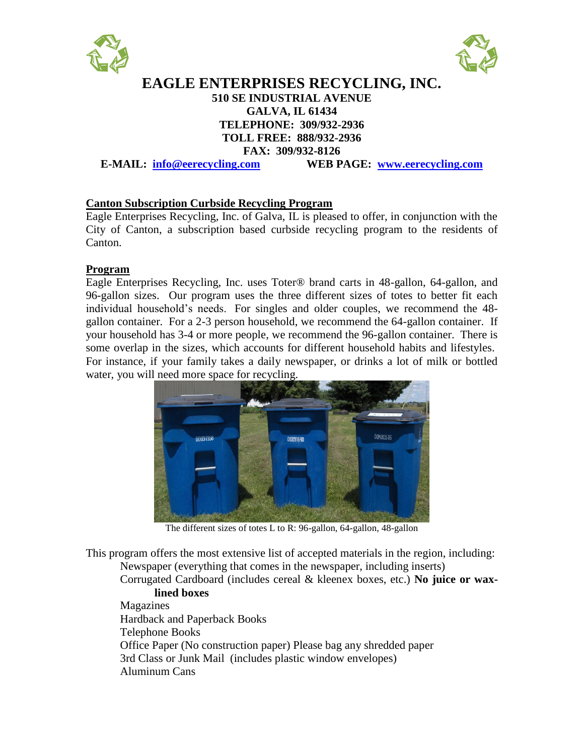



# **EAGLE ENTERPRISES RECYCLING, INC. 510 SE INDUSTRIAL AVENUE GALVA, IL 61434 TELEPHONE: 309/932-2936 TOLL FREE: 888/932-2936 FAX: 309/932-8126**

**E-MAIL: [info@eerecycling.com](mailto:info@eerecycling.com) WEB PAGE: [www.eerecycling.com](http://www.eerecycling.com/)**

#### **Canton Subscription Curbside Recycling Program**

Eagle Enterprises Recycling, Inc. of Galva, IL is pleased to offer, in conjunction with the City of Canton, a subscription based curbside recycling program to the residents of Canton.

#### **Program**

Eagle Enterprises Recycling, Inc. uses Toter® brand carts in 48-gallon, 64-gallon, and 96-gallon sizes. Our program uses the three different sizes of totes to better fit each individual household's needs. For singles and older couples, we recommend the 48 gallon container. For a 2-3 person household, we recommend the 64-gallon container. If your household has 3-4 or more people, we recommend the 96-gallon container. There is some overlap in the sizes, which accounts for different household habits and lifestyles. For instance, if your family takes a daily newspaper, or drinks a lot of milk or bottled water, you will need more space for recycling.



The different sizes of totes L to R: 96-gallon, 64-gallon, 48-gallon

This program offers the most extensive list of accepted materials in the region, including: Newspaper (everything that comes in the newspaper, including inserts)

Corrugated Cardboard (includes cereal & kleenex boxes, etc.) **No juice or waxlined boxes**

Magazines Hardback and Paperback Books Telephone Books Office Paper (No construction paper) Please bag any shredded paper 3rd Class or Junk Mail (includes plastic window envelopes) Aluminum Cans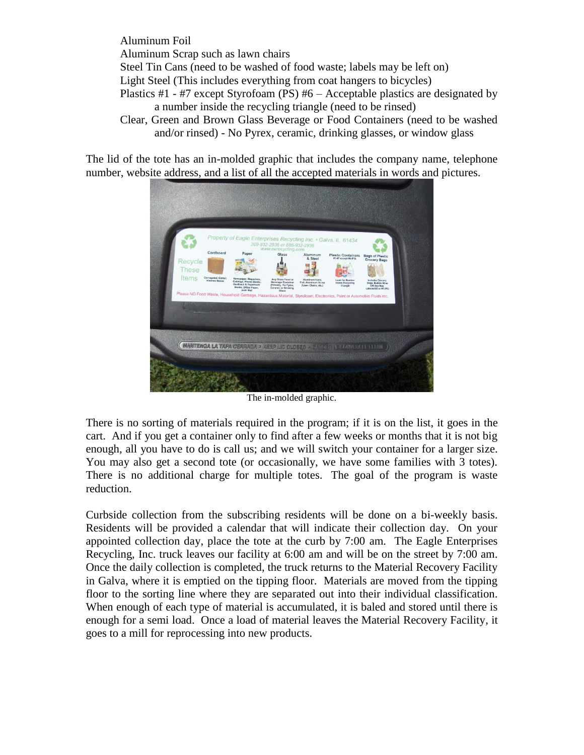Aluminum Foil Aluminum Scrap such as lawn chairs Steel Tin Cans (need to be washed of food waste; labels may be left on) Light Steel (This includes everything from coat hangers to bicycles) Plastics #1 - #7 except Styrofoam (PS) #6 – Acceptable plastics are designated by a number inside the recycling triangle (need to be rinsed) Clear, Green and Brown Glass Beverage or Food Containers (need to be washed and/or rinsed) - No Pyrex, ceramic, drinking glasses, or window glass

The lid of the tote has an in-molded graphic that includes the company name, telephone number, website address, and a list of all the accepted materials in words and pictures.



The in-molded graphic.

There is no sorting of materials required in the program; if it is on the list, it goes in the cart. And if you get a container only to find after a few weeks or months that it is not big enough, all you have to do is call us; and we will switch your container for a larger size. You may also get a second tote (or occasionally, we have some families with 3 totes). There is no additional charge for multiple totes. The goal of the program is waste reduction.

Curbside collection from the subscribing residents will be done on a bi-weekly basis. Residents will be provided a calendar that will indicate their collection day. On your appointed collection day, place the tote at the curb by 7:00 am. The Eagle Enterprises Recycling, Inc. truck leaves our facility at 6:00 am and will be on the street by 7:00 am. Once the daily collection is completed, the truck returns to the Material Recovery Facility in Galva, where it is emptied on the tipping floor. Materials are moved from the tipping floor to the sorting line where they are separated out into their individual classification. When enough of each type of material is accumulated, it is baled and stored until there is enough for a semi load. Once a load of material leaves the Material Recovery Facility, it goes to a mill for reprocessing into new products.